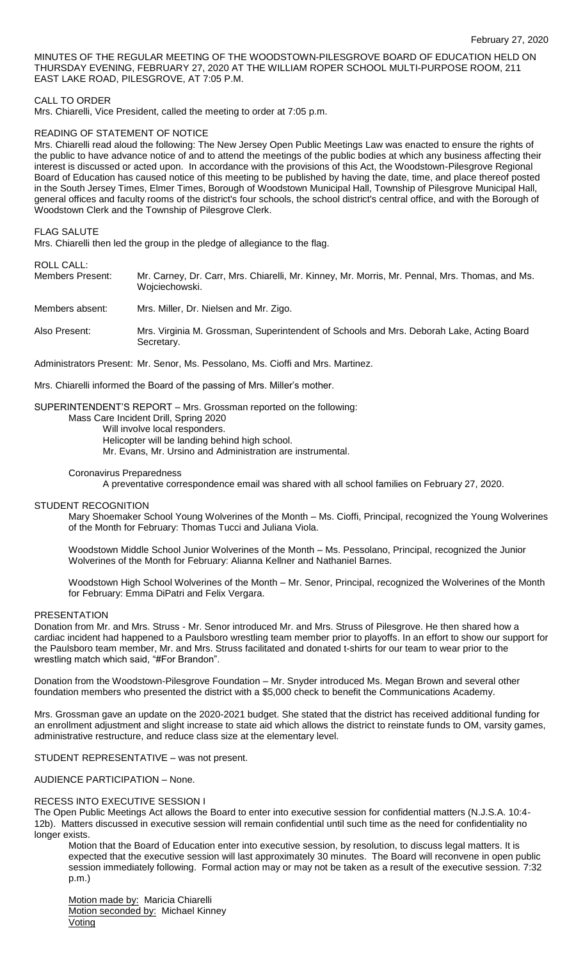MINUTES OF THE REGULAR MEETING OF THE WOODSTOWN-PILESGROVE BOARD OF EDUCATION HELD ON THURSDAY EVENING, FEBRUARY 27, 2020 AT THE WILLIAM ROPER SCHOOL MULTI-PURPOSE ROOM, 211 EAST LAKE ROAD, PILESGROVE, AT 7:05 P.M.

# CALL TO ORDER

Mrs. Chiarelli, Vice President, called the meeting to order at 7:05 p.m.

# READING OF STATEMENT OF NOTICE

Mrs. Chiarelli read aloud the following: The New Jersey Open Public Meetings Law was enacted to ensure the rights of the public to have advance notice of and to attend the meetings of the public bodies at which any business affecting their interest is discussed or acted upon. In accordance with the provisions of this Act, the Woodstown-Pilesgrove Regional Board of Education has caused notice of this meeting to be published by having the date, time, and place thereof posted in the South Jersey Times, Elmer Times, Borough of Woodstown Municipal Hall, Township of Pilesgrove Municipal Hall, general offices and faculty rooms of the district's four schools, the school district's central office, and with the Borough of Woodstown Clerk and the Township of Pilesgrove Clerk.

# FLAG SALUTE

Mrs. Chiarelli then led the group in the pledge of allegiance to the flag.

ROLL CALL:<br>Members Present: Mr. Carney, Dr. Carr, Mrs. Chiarelli, Mr. Kinney, Mr. Morris, Mr. Pennal, Mrs. Thomas, and Ms. Wojciechowski.

Members absent: Mrs. Miller, Dr. Nielsen and Mr. Zigo.

Also Present: Mrs. Virginia M. Grossman, Superintendent of Schools and Mrs. Deborah Lake, Acting Board Secretary.

Administrators Present: Mr. Senor, Ms. Pessolano, Ms. Cioffi and Mrs. Martinez.

Mrs. Chiarelli informed the Board of the passing of Mrs. Miller's mother.

# SUPERINTENDENT'S REPORT – Mrs. Grossman reported on the following:

Mass Care Incident Drill, Spring 2020

Will involve local responders.

Helicopter will be landing behind high school.

Mr. Evans, Mr. Ursino and Administration are instrumental.

### Coronavirus Preparedness

A preventative correspondence email was shared with all school families on February 27, 2020.

#### STUDENT RECOGNITION

Mary Shoemaker School Young Wolverines of the Month – Ms. Cioffi, Principal, recognized the Young Wolverines of the Month for February: Thomas Tucci and Juliana Viola.

Woodstown Middle School Junior Wolverines of the Month – Ms. Pessolano, Principal, recognized the Junior Wolverines of the Month for February: Alianna Kellner and Nathaniel Barnes.

Woodstown High School Wolverines of the Month – Mr. Senor, Principal, recognized the Wolverines of the Month for February: Emma DiPatri and Felix Vergara.

# **PRESENTATION**

Donation from Mr. and Mrs. Struss - Mr. Senor introduced Mr. and Mrs. Struss of Pilesgrove. He then shared how a cardiac incident had happened to a Paulsboro wrestling team member prior to playoffs. In an effort to show our support for the Paulsboro team member, Mr. and Mrs. Struss facilitated and donated t-shirts for our team to wear prior to the wrestling match which said, "#For Brandon".

Donation from the Woodstown-Pilesgrove Foundation – Mr. Snyder introduced Ms. Megan Brown and several other foundation members who presented the district with a \$5,000 check to benefit the Communications Academy.

Mrs. Grossman gave an update on the 2020-2021 budget. She stated that the district has received additional funding for an enrollment adjustment and slight increase to state aid which allows the district to reinstate funds to OM, varsity games, administrative restructure, and reduce class size at the elementary level.

STUDENT REPRESENTATIVE – was not present.

AUDIENCE PARTICIPATION – None.

#### RECESS INTO EXECUTIVE SESSION I

The Open Public Meetings Act allows the Board to enter into executive session for confidential matters (N.J.S.A. 10:4- 12b). Matters discussed in executive session will remain confidential until such time as the need for confidentiality no longer exists.

Motion that the Board of Education enter into executive session, by resolution, to discuss legal matters. It is expected that the executive session will last approximately 30 minutes. The Board will reconvene in open public session immediately following. Formal action may or may not be taken as a result of the executive session. 7:32 p.m.)

Motion made by: Maricia Chiarelli Motion seconded by: Michael Kinney **Voting**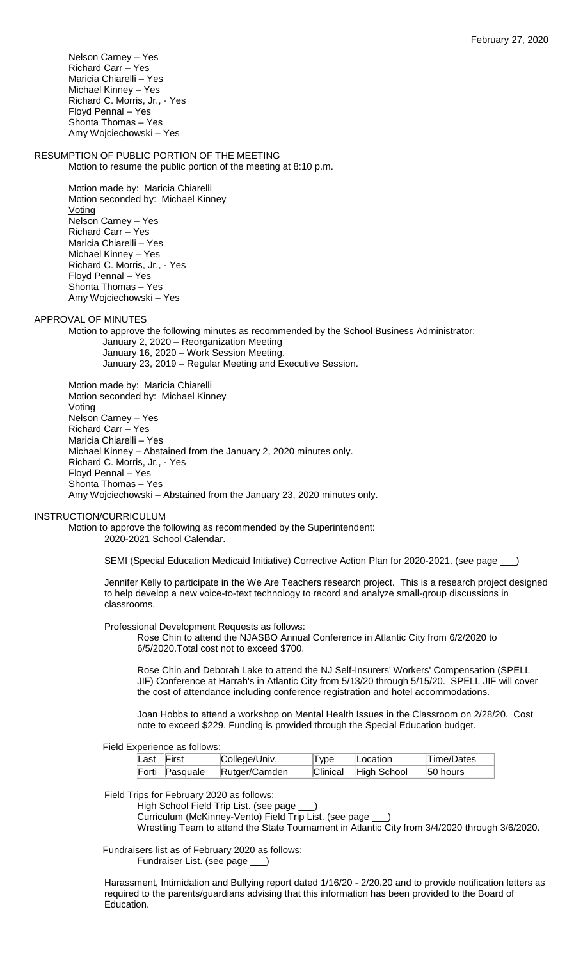Nelson Carney – Yes Richard Carr – Yes Maricia Chiarelli – Yes Michael Kinney – Yes Richard C. Morris, Jr., - Yes Floyd Pennal – Yes Shonta Thomas – Yes Amy Wojciechowski – Yes

# RESUMPTION OF PUBLIC PORTION OF THE MEETING

Motion to resume the public portion of the meeting at 8:10 p.m.

Motion made by: Maricia Chiarelli Motion seconded by: Michael Kinney Voting Nelson Carney – Yes Richard Carr – Yes Maricia Chiarelli – Yes Michael Kinney – Yes Richard C. Morris, Jr., - Yes Floyd Pennal – Yes Shonta Thomas – Yes Amy Wojciechowski – Yes

APPROVAL OF MINUTES

Motion to approve the following minutes as recommended by the School Business Administrator: January 2, 2020 – Reorganization Meeting January 16, 2020 – Work Session Meeting. January 23, 2019 – Regular Meeting and Executive Session.

Motion made by: Maricia Chiarelli Motion seconded by: Michael Kinney **Voting** Nelson Carney – Yes Richard Carr – Yes Maricia Chiarelli – Yes Michael Kinney – Abstained from the January 2, 2020 minutes only. Richard C. Morris, Jr., - Yes Floyd Pennal – Yes Shonta Thomas – Yes Amy Wojciechowski – Abstained from the January 23, 2020 minutes only.

# INSTRUCTION/CURRICULUM

Motion to approve the following as recommended by the Superintendent: 2020-2021 School Calendar.

SEMI (Special Education Medicaid Initiative) Corrective Action Plan for 2020-2021. (see page \_

Jennifer Kelly to participate in the We Are Teachers research project. This is a research project designed to help develop a new voice-to-text technology to record and analyze small-group discussions in classrooms.

Professional Development Requests as follows:

Rose Chin to attend the NJASBO Annual Conference in Atlantic City from 6/2/2020 to 6/5/2020.Total cost not to exceed \$700.

Rose Chin and Deborah Lake to attend the NJ Self-Insurers' Workers' Compensation (SPELL JIF) Conference at Harrah's in Atlantic City from 5/13/20 through 5/15/20. SPELL JIF will cover the cost of attendance including conference registration and hotel accommodations.

Joan Hobbs to attend a workshop on Mental Health Issues in the Classroom on 2/28/20. Cost note to exceed \$229. Funding is provided through the Special Education budget.

Field Experience as follows:

| Last First     | College/Univ. | Type | Location             | Time/Dates |
|----------------|---------------|------|----------------------|------------|
| Forti Pasquale | Rutger/Camden |      | Clinical High School | 50 hours   |

Field Trips for February 2020 as follows:

High School Field Trip List. (see page \_ Curriculum (McKinney-Vento) Field Trip List. (see page \_\_\_) Wrestling Team to attend the State Tournament in Atlantic City from 3/4/2020 through 3/6/2020.

Fundraisers list as of February 2020 as follows: Fundraiser List. (see page \_\_\_)

Harassment, Intimidation and Bullying report dated 1/16/20 - 2/20.20 and to provide notification letters as required to the parents/guardians advising that this information has been provided to the Board of Education.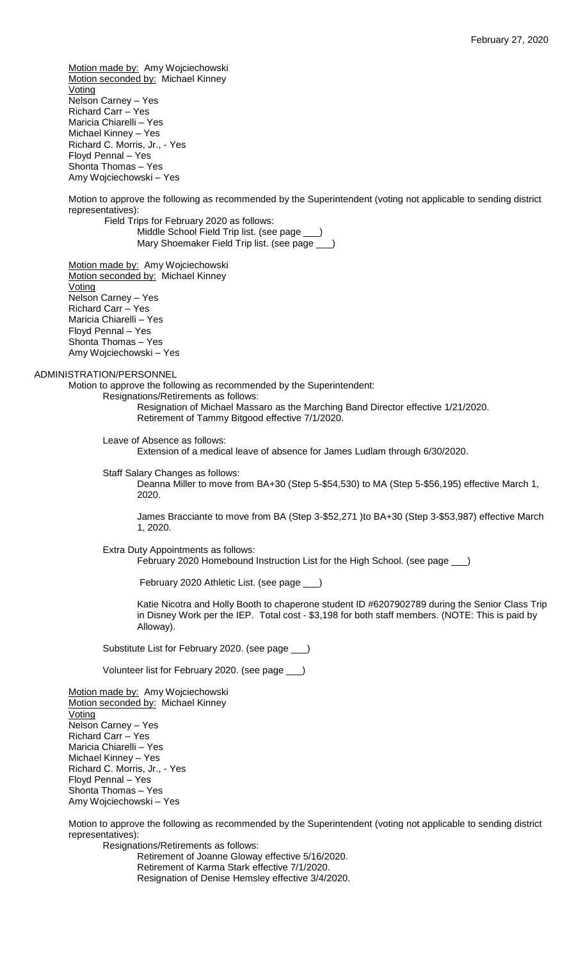Motion made by: Amy Wojciechowski Motion seconded by: Michael Kinney **Voting** Nelson Carney – Yes Richard Carr – Yes Maricia Chiarelli – Yes Michael Kinney – Yes Richard C. Morris, Jr., - Yes Floyd Pennal – Yes Shonta Thomas – Yes Amy Wojciechowski – Yes Motion to approve the following as recommended by the Superintendent (voting not applicable to sending district representatives): Field Trips for February 2020 as follows: Middle School Field Trip list. (see page \_ Mary Shoemaker Field Trip list. (see page \_ Motion made by: Amy Wojciechowski Motion seconded by: Michael Kinney **Voting** Nelson Carney – Yes Richard Carr – Yes Maricia Chiarelli – Yes Floyd Pennal – Yes Shonta Thomas – Yes Amy Wojciechowski – Yes ADMINISTRATION/PERSONNEL Motion to approve the following as recommended by the Superintendent: Resignations/Retirements as follows: Resignation of Michael Massaro as the Marching Band Director effective 1/21/2020. Retirement of Tammy Bitgood effective 7/1/2020. Leave of Absence as follows: Extension of a medical leave of absence for James Ludlam through 6/30/2020. Staff Salary Changes as follows: Deanna Miller to move from BA+30 (Step 5-\$54,530) to MA (Step 5-\$56,195) effective March 1, 2020. James Bracciante to move from BA (Step 3-\$52,271 )to BA+30 (Step 3-\$53,987) effective March 1, 2020. Extra Duty Appointments as follows: February 2020 Homebound Instruction List for the High School. (see page \_\_\_) February 2020 Athletic List. (see page \_\_\_) Katie Nicotra and Holly Booth to chaperone student ID #6207902789 during the Senior Class Trip in Disney Work per the IEP. Total cost - \$3,198 for both staff members. (NOTE: This is paid by Alloway). Substitute List for February 2020. (see page \_\_\_) Volunteer list for February 2020. (see page \_\_\_) Motion made by: Amy Wojciechowski Motion seconded by: Michael Kinney **Voting** Nelson Carney – Yes Richard Carr – Yes Maricia Chiarelli – Yes Michael Kinney – Yes Richard C. Morris, Jr., - Yes

Motion to approve the following as recommended by the Superintendent (voting not applicable to sending district representatives):

Resignations/Retirements as follows: Retirement of Joanne Gloway effective 5/16/2020. Retirement of Karma Stark effective 7/1/2020. Resignation of Denise Hemsley effective 3/4/2020.

Floyd Pennal – Yes Shonta Thomas – Yes Amy Wojciechowski – Yes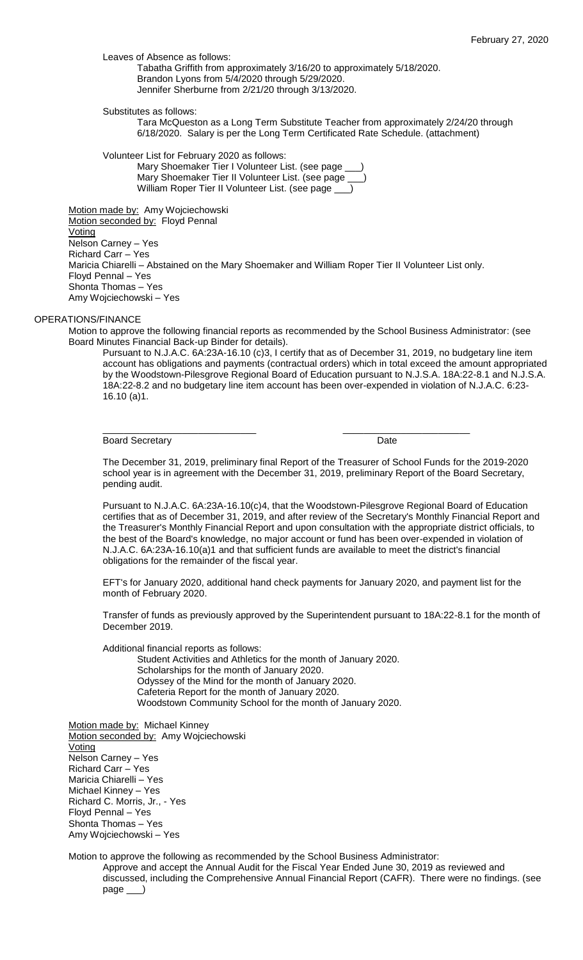Leaves of Absence as follows:

Tabatha Griffith from approximately 3/16/20 to approximately 5/18/2020. Brandon Lyons from 5/4/2020 through 5/29/2020. Jennifer Sherburne from 2/21/20 through 3/13/2020.

Substitutes as follows:

Tara McQueston as a Long Term Substitute Teacher from approximately 2/24/20 through 6/18/2020. Salary is per the Long Term Certificated Rate Schedule. (attachment)

Volunteer List for February 2020 as follows:

Mary Shoemaker Tier I Volunteer List. (see page Mary Shoemaker Tier II Volunteer List. (see page William Roper Tier II Volunteer List. (see page \_

Motion made by: Amy Wojciechowski Motion seconded by: Floyd Pennal **Voting** Nelson Carney – Yes Richard Carr – Yes Maricia Chiarelli – Abstained on the Mary Shoemaker and William Roper Tier II Volunteer List only. Floyd Pennal – Yes Shonta Thomas – Yes Amy Wojciechowski – Yes

# OPERATIONS/FINANCE

Motion to approve the following financial reports as recommended by the School Business Administrator: (see Board Minutes Financial Back-up Binder for details).

\_\_\_\_\_\_\_\_\_\_\_\_\_\_\_\_\_\_\_\_\_\_\_\_\_\_\_\_\_ \_\_\_\_\_\_\_\_\_\_\_\_\_\_\_\_\_\_\_\_\_\_\_\_

Pursuant to N.J.A.C. 6A:23A-16.10 (c)3, I certify that as of December 31, 2019, no budgetary line item account has obligations and payments (contractual orders) which in total exceed the amount appropriated by the Woodstown-Pilesgrove Regional Board of Education pursuant to N.J.S.A. 18A:22-8.1 and N.J.S.A. 18A:22-8.2 and no budgetary line item account has been over-expended in violation of N.J.A.C. 6:23- 16.10 (a)1.

Board Secretary **Date** 

The December 31, 2019, preliminary final Report of the Treasurer of School Funds for the 2019-2020 school year is in agreement with the December 31, 2019, preliminary Report of the Board Secretary, pending audit.

Pursuant to N.J.A.C. 6A:23A-16.10(c)4, that the Woodstown-Pilesgrove Regional Board of Education certifies that as of December 31, 2019, and after review of the Secretary's Monthly Financial Report and the Treasurer's Monthly Financial Report and upon consultation with the appropriate district officials, to the best of the Board's knowledge, no major account or fund has been over-expended in violation of N.J.A.C. 6A:23A-16.10(a)1 and that sufficient funds are available to meet the district's financial obligations for the remainder of the fiscal year.

EFT's for January 2020, additional hand check payments for January 2020, and payment list for the month of February 2020.

Transfer of funds as previously approved by the Superintendent pursuant to 18A:22-8.1 for the month of December 2019.

Additional financial reports as follows:

Student Activities and Athletics for the month of January 2020. Scholarships for the month of January 2020. Odyssey of the Mind for the month of January 2020. Cafeteria Report for the month of January 2020. Woodstown Community School for the month of January 2020.

Motion made by: Michael Kinney Motion seconded by: Amy Wojciechowski Voting Nelson Carney – Yes Richard Carr – Yes Maricia Chiarelli – Yes Michael Kinney – Yes Richard C. Morris, Jr., - Yes Floyd Pennal – Yes Shonta Thomas – Yes Amy Wojciechowski – Yes

Motion to approve the following as recommended by the School Business Administrator:

Approve and accept the Annual Audit for the Fiscal Year Ended June 30, 2019 as reviewed and discussed, including the Comprehensive Annual Financial Report (CAFR). There were no findings. (see page \_\_\_)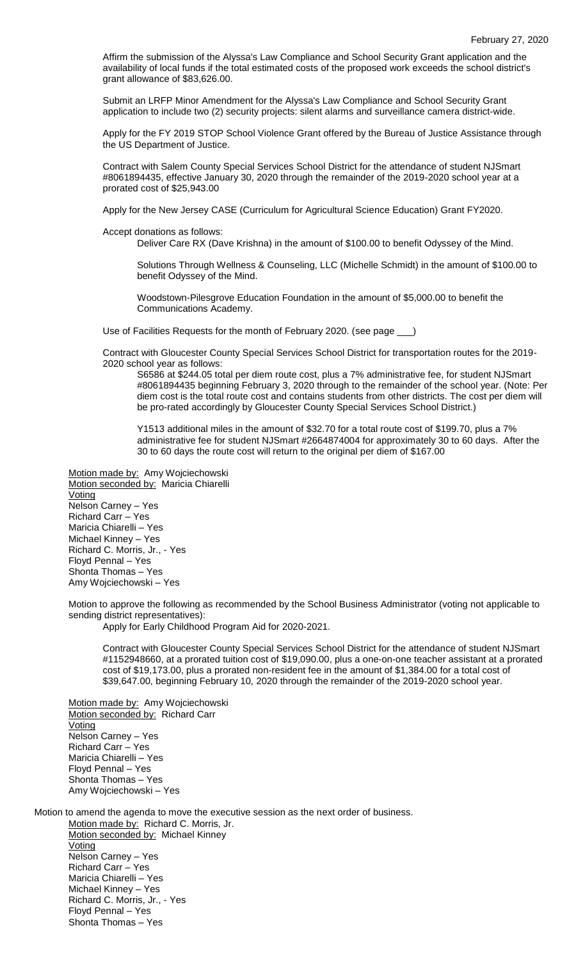Affirm the submission of the Alyssa's Law Compliance and School Security Grant application and the availability of local funds if the total estimated costs of the proposed work exceeds the school district's grant allowance of \$83,626.00.

Submit an LRFP Minor Amendment for the Alyssa's Law Compliance and School Security Grant application to include two (2) security projects: silent alarms and surveillance camera district-wide.

Apply for the FY 2019 STOP School Violence Grant offered by the Bureau of Justice Assistance through the US Department of Justice.

Contract with Salem County Special Services School District for the attendance of student NJSmart #8061894435, effective January 30, 2020 through the remainder of the 2019-2020 school year at a prorated cost of \$25,943.00

Apply for the New Jersey CASE (Curriculum for Agricultural Science Education) Grant FY2020.

Accept donations as follows:

Deliver Care RX (Dave Krishna) in the amount of \$100.00 to benefit Odyssey of the Mind.

Solutions Through Wellness & Counseling, LLC (Michelle Schmidt) in the amount of \$100.00 to benefit Odyssey of the Mind.

Woodstown-Pilesgrove Education Foundation in the amount of \$5,000.00 to benefit the Communications Academy.

Use of Facilities Requests for the month of February 2020. (see page \_

Contract with Gloucester County Special Services School District for transportation routes for the 2019- 2020 school year as follows:

S6586 at \$244.05 total per diem route cost, plus a 7% administrative fee, for student NJSmart #8061894435 beginning February 3, 2020 through to the remainder of the school year. (Note: Per diem cost is the total route cost and contains students from other districts. The cost per diem will be pro-rated accordingly by Gloucester County Special Services School District.)

Y1513 additional miles in the amount of \$32.70 for a total route cost of \$199.70, plus a 7% administrative fee for student NJSmart #2664874004 for approximately 30 to 60 days. After the 30 to 60 days the route cost will return to the original per diem of \$167.00

Motion made by: Amy Wojciechowski Motion seconded by: Maricia Chiarelli Voting Nelson Carney – Yes Richard Carr – Yes Maricia Chiarelli – Yes Michael Kinney – Yes Richard C. Morris, Jr., - Yes Floyd Pennal – Yes Shonta Thomas – Yes Amy Wojciechowski – Yes

Motion to approve the following as recommended by the School Business Administrator (voting not applicable to sending district representatives):

Apply for Early Childhood Program Aid for 2020-2021.

Contract with Gloucester County Special Services School District for the attendance of student NJSmart #1152948660, at a prorated tuition cost of \$19,090.00, plus a one-on-one teacher assistant at a prorated cost of \$19,173.00, plus a prorated non-resident fee in the amount of \$1,384.00 for a total cost of \$39,647.00, beginning February 10, 2020 through the remainder of the 2019-2020 school year.

Motion made by: Amy Wojciechowski Motion seconded by: Richard Carr Voting Nelson Carney – Yes Richard Carr – Yes Maricia Chiarelli – Yes Floyd Pennal – Yes Shonta Thomas – Yes Amy Wojciechowski – Yes

Motion to amend the agenda to move the executive session as the next order of business. Motion made by: Richard C. Morris, Jr.

Motion seconded by: Michael Kinney **Voting** Nelson Carney – Yes Richard Carr – Yes Maricia Chiarelli – Yes Michael Kinney – Yes Richard C. Morris, Jr., - Yes Floyd Pennal – Yes Shonta Thomas – Yes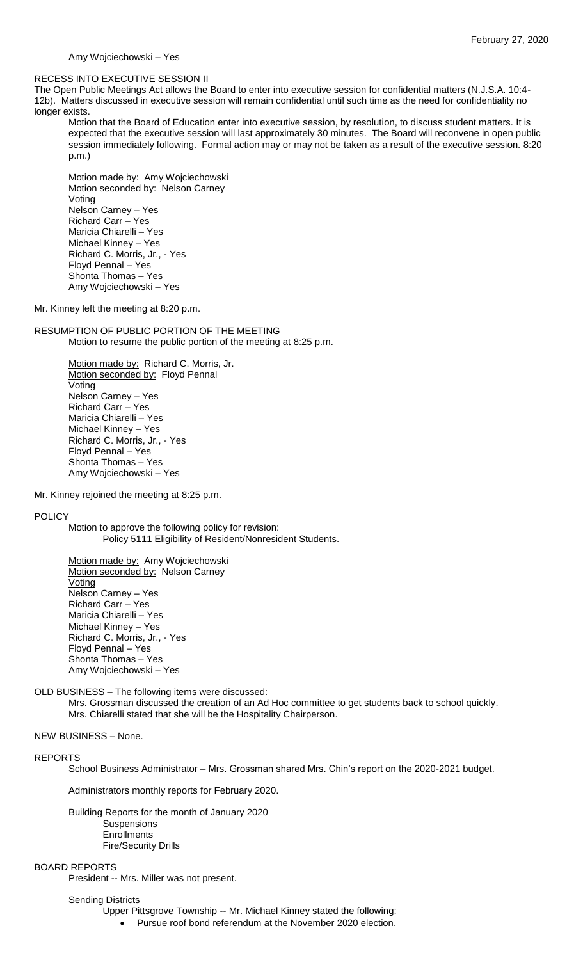Amy Wojciechowski – Yes

#### RECESS INTO EXECUTIVE SESSION II

The Open Public Meetings Act allows the Board to enter into executive session for confidential matters (N.J.S.A. 10:4- 12b). Matters discussed in executive session will remain confidential until such time as the need for confidentiality no longer exists.

Motion that the Board of Education enter into executive session, by resolution, to discuss student matters. It is expected that the executive session will last approximately 30 minutes. The Board will reconvene in open public session immediately following. Formal action may or may not be taken as a result of the executive session. 8:20 p.m.)

Motion made by: Amy Wojciechowski Motion seconded by: Nelson Carney **Voting** Nelson Carney – Yes Richard Carr – Yes Maricia Chiarelli – Yes Michael Kinney – Yes Richard C. Morris, Jr., - Yes Floyd Pennal – Yes Shonta Thomas – Yes Amy Wojciechowski – Yes

Mr. Kinney left the meeting at 8:20 p.m.

RESUMPTION OF PUBLIC PORTION OF THE MEETING Motion to resume the public portion of the meeting at 8:25 p.m.

> Motion made by: Richard C. Morris, Jr. Motion seconded by: Floyd Pennal Voting Nelson Carney – Yes Richard Carr – Yes Maricia Chiarelli – Yes Michael Kinney – Yes Richard C. Morris, Jr., - Yes Floyd Pennal – Yes Shonta Thomas – Yes Amy Wojciechowski – Yes

Mr. Kinney rejoined the meeting at 8:25 p.m.

### POLICY

Motion to approve the following policy for revision: Policy 5111 Eligibility of Resident/Nonresident Students.

Motion made by: Amy Wojciechowski Motion seconded by: Nelson Carney Voting Nelson Carney – Yes Richard Carr – Yes Maricia Chiarelli – Yes Michael Kinney – Yes Richard C. Morris, Jr., - Yes Floyd Pennal – Yes Shonta Thomas – Yes Amy Wojciechowski – Yes

OLD BUSINESS – The following items were discussed:

Mrs. Grossman discussed the creation of an Ad Hoc committee to get students back to school quickly. Mrs. Chiarelli stated that she will be the Hospitality Chairperson.

# NEW BUSINESS – None.

#### REPORTS

School Business Administrator – Mrs. Grossman shared Mrs. Chin's report on the 2020-2021 budget.

Administrators monthly reports for February 2020.

Building Reports for the month of January 2020 Suspensions **Enrollments** Fire/Security Drills

## BOARD REPORTS

President -- Mrs. Miller was not present.

# Sending Districts

- Upper Pittsgrove Township -- Mr. Michael Kinney stated the following:
	- Pursue roof bond referendum at the November 2020 election.